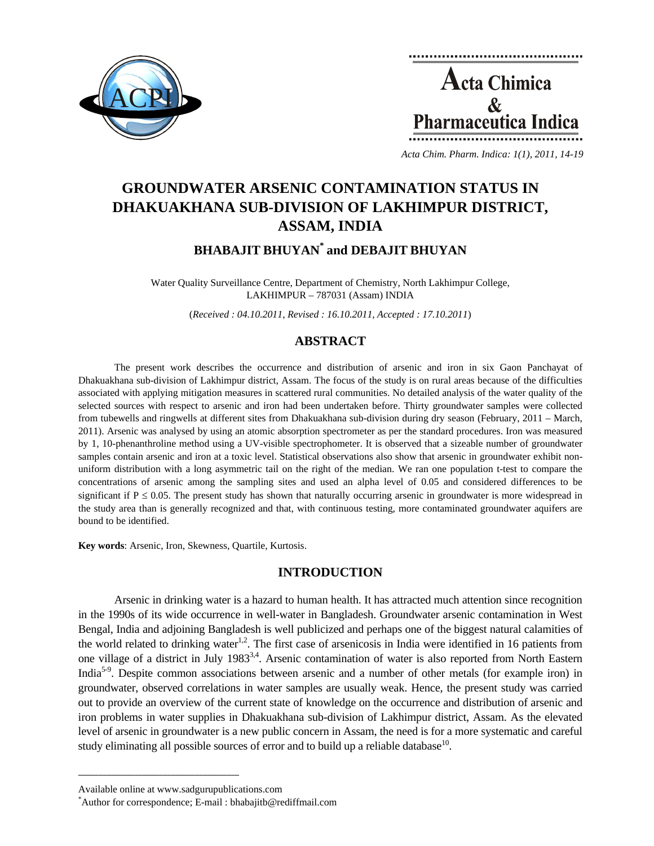



*Acta Chim. Pharm. Indica: 1(1), 2011, 14-19*

# **GROUNDWATER ARSENIC CONTAMINATION STATUS IN DHAKUAKHANA SUB-DIVISION OF LAKHIMPUR DISTRICT, ASSAM, INDIA**

**BHABAJIT BHUYAN\* and DEBAJIT BHUYAN** 

Water Quality Surveillance Centre, Department of Chemistry, North Lakhimpur College, LAKHIMPUR – 787031 (Assam) INDIA

(*Received : 04.10.2011, Revised : 16.10.2011, Accepted : 17.10.2011*)

# **ABSTRACT**

The present work describes the occurrence and distribution of arsenic and iron in six Gaon Panchayat of Dhakuakhana sub-division of Lakhimpur district, Assam. The focus of the study is on rural areas because of the difficulties associated with applying mitigation measures in scattered rural communities. No detailed analysis of the water quality of the selected sources with respect to arsenic and iron had been undertaken before. Thirty groundwater samples were collected from tubewells and ringwells at different sites from Dhakuakhana sub-division during dry season (February, 2011 – March, 2011). Arsenic was analysed by using an atomic absorption spectrometer as per the standard procedures. Iron was measured by 1, 10-phenanthroline method using a UV-visible spectrophometer. It is observed that a sizeable number of groundwater samples contain arsenic and iron at a toxic level. Statistical observations also show that arsenic in groundwater exhibit nonuniform distribution with a long asymmetric tail on the right of the median. We ran one population t-test to compare the concentrations of arsenic among the sampling sites and used an alpha level of 0.05 and considered differences to be significant if  $P \le 0.05$ . The present study has shown that naturally occurring arsenic in groundwater is more widespread in the study area than is generally recognized and that, with continuous testing, more contaminated groundwater aquifers are bound to be identified.

**Key words**: Arsenic, Iron, Skewness, Quartile, Kurtosis.

# **INTRODUCTION**

Arsenic in drinking water is a hazard to human health. It has attracted much attention since recognition in the 1990s of its wide occurrence in well-water in Bangladesh. Groundwater arsenic contamination in West Bengal, India and adjoining Bangladesh is well publicized and perhaps one of the biggest natural calamities of the world related to drinking water<sup>1,2</sup>. The first case of arsenicosis in India were identified in 16 patients from one village of a district in July 1983<sup>3,4</sup>. Arsenic contamination of water is also reported from North Eastern India<sup>5-9</sup>. Despite common associations between arsenic and a number of other metals (for example iron) in groundwater, observed correlations in water samples are usually weak. Hence, the present study was carried out to provide an overview of the current state of knowledge on the occurrence and distribution of arsenic and iron problems in water supplies in Dhakuakhana sub-division of Lakhimpur district, Assam. As the elevated level of arsenic in groundwater is a new public concern in Assam, the need is for a more systematic and careful study eliminating all possible sources of error and to build up a reliable database $^{10}$ .

**\_\_\_\_\_\_\_\_\_\_\_\_\_\_\_\_\_\_\_\_\_\_\_\_\_\_\_\_\_\_\_\_\_\_\_\_\_\_\_\_**

Available online at www.sadgurupublications.com \*

Author for correspondence; E-mail : bhabajitb@rediffmail.com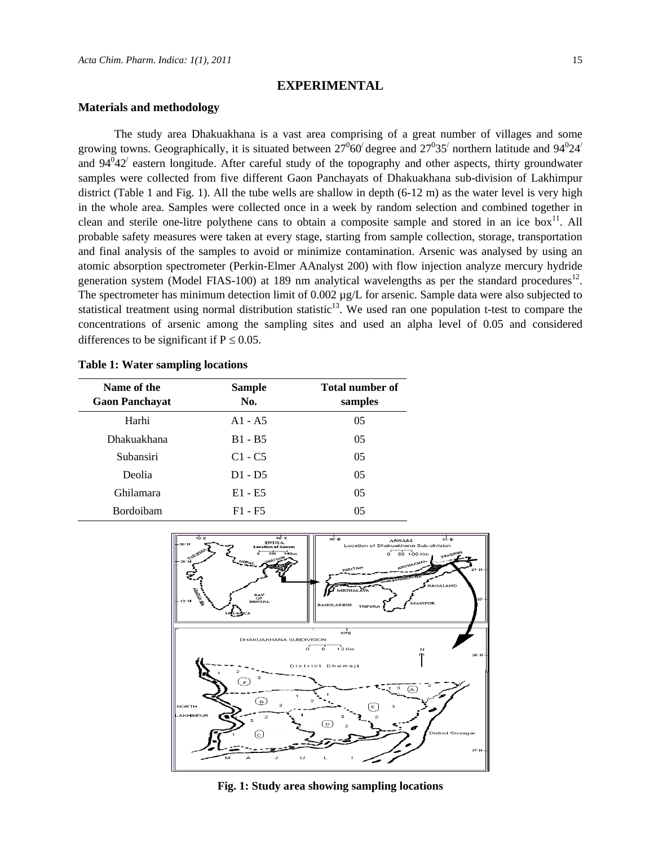### **EXPERIMENTAL**

### **Materials and methodology**

The study area Dhakuakhana is a vast area comprising of a great number of villages and some growing towns. Geographically, it is situated between  $27^{0}60'$  degree and  $27^{0}35'$  northern latitude and  $94^{0}24'$ and  $94^042'$  eastern longitude. After careful study of the topography and other aspects, thirty groundwater samples were collected from five different Gaon Panchayats of Dhakuakhana sub-division of Lakhimpur district (Table 1 and Fig. 1). All the tube wells are shallow in depth (6-12 m) as the water level is very high in the whole area. Samples were collected once in a week by random selection and combined together in clean and sterile one-litre polythene cans to obtain a composite sample and stored in an ice box<sup>11</sup>. All probable safety measures were taken at every stage, starting from sample collection, storage, transportation and final analysis of the samples to avoid or minimize contamination. Arsenic was analysed by using an atomic absorption spectrometer (Perkin-Elmer AAnalyst 200) with flow injection analyze mercury hydride generation system (Model FIAS-100) at 189 nm analytical wavelengths as per the standard procedures<sup>12</sup>. The spectrometer has minimum detection limit of 0.002  $\mu$ g/L for arsenic. Sample data were also subjected to statistical treatment using normal distribution statistic<sup>13</sup>. We used ran one population t-test to compare the concentrations of arsenic among the sampling sites and used an alpha level of 0.05 and considered differences to be significant if  $P \le 0.05$ .

|  |  | <b>Table 1: Water sampling locations</b> |  |
|--|--|------------------------------------------|--|
|--|--|------------------------------------------|--|

| Name of the<br><b>Gaon Panchayat</b> | <b>Sample</b><br>No. | <b>Total number of</b><br>samples |
|--------------------------------------|----------------------|-----------------------------------|
| Harhi                                | $A1 - A5$            | 05                                |
| Dhakuakhana                          | $B1 - B5$            | 05                                |
| Subansiri                            | $C1 - C5$            | 05                                |
| Deolia                               | $D1 - D5$            | 0 <sub>5</sub>                    |
| Ghilamara                            | $E1 - E5$            | 0 <sub>5</sub>                    |
| Bordoibam                            | $F1 - F5$            | 05                                |



**Fig. 1: Study area showing sampling locations**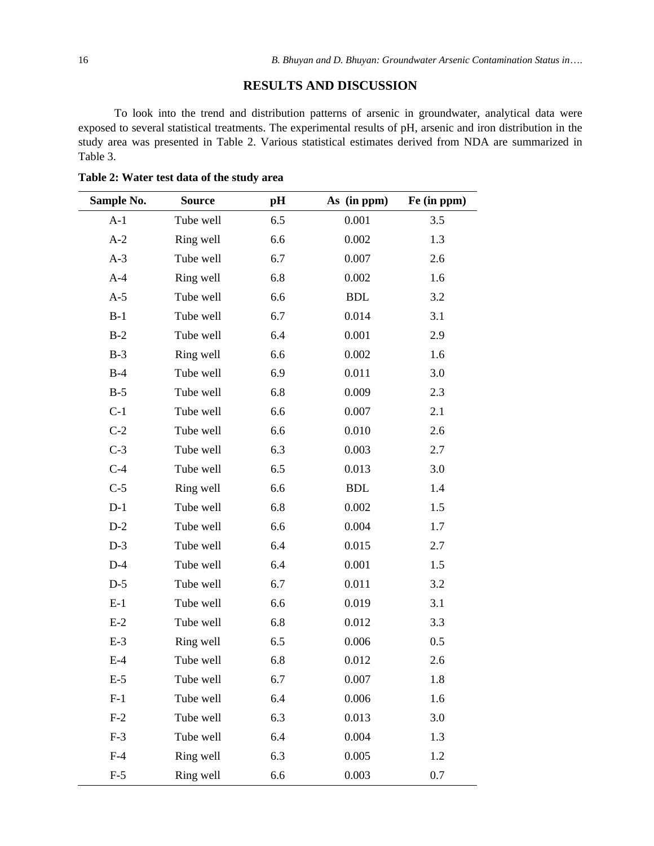# **RESULTS AND DISCUSSION**

To look into the trend and distribution patterns of arsenic in groundwater, analytical data were exposed to several statistical treatments. The experimental results of pH, arsenic and iron distribution in the study area was presented in Table 2. Various statistical estimates derived from NDA are summarized in Table 3.

| Sample No. | <b>Source</b> | pH  | As (in ppm) | Fe (in ppm) |
|------------|---------------|-----|-------------|-------------|
| $A-1$      | Tube well     | 6.5 | 0.001       | 3.5         |
| $A-2$      | Ring well     | 6.6 | 0.002       | 1.3         |
| $A-3$      | Tube well     | 6.7 | 0.007       | 2.6         |
| $A-4$      | Ring well     | 6.8 | 0.002       | 1.6         |
| $A-5$      | Tube well     | 6.6 | <b>BDL</b>  | 3.2         |
| $B-1$      | Tube well     | 6.7 | 0.014       | 3.1         |
| $B-2$      | Tube well     | 6.4 | 0.001       | 2.9         |
| $B-3$      | Ring well     | 6.6 | 0.002       | 1.6         |
| $B-4$      | Tube well     | 6.9 | 0.011       | 3.0         |
| $B-5$      | Tube well     | 6.8 | 0.009       | 2.3         |
| $C-1$      | Tube well     | 6.6 | 0.007       | 2.1         |
| $C-2$      | Tube well     | 6.6 | 0.010       | 2.6         |
| $C-3$      | Tube well     | 6.3 | 0.003       | 2.7         |
| $C-4$      | Tube well     | 6.5 | 0.013       | 3.0         |
| $C-5$      | Ring well     | 6.6 | <b>BDL</b>  | 1.4         |
| $D-1$      | Tube well     | 6.8 | 0.002       | 1.5         |
| $D-2$      | Tube well     | 6.6 | 0.004       | 1.7         |
| $D-3$      | Tube well     | 6.4 | 0.015       | 2.7         |
| $D-4$      | Tube well     | 6.4 | 0.001       | 1.5         |
| $D-5$      | Tube well     | 6.7 | 0.011       | 3.2         |
| $E-1$      | Tube well     | 6.6 | 0.019       | 3.1         |
| $E-2$      | Tube well     | 6.8 | 0.012       | 3.3         |
| $E-3$      | Ring well     | 6.5 | 0.006       | 0.5         |
| $E-4$      | Tube well     | 6.8 | 0.012       | 2.6         |
| $E-5$      | Tube well     | 6.7 | 0.007       | 1.8         |
| $F-1$      | Tube well     | 6.4 | 0.006       | 1.6         |
| $F-2$      | Tube well     | 6.3 | 0.013       | 3.0         |
| $F-3$      | Tube well     | 6.4 | 0.004       | 1.3         |
| $F-4$      | Ring well     | 6.3 | 0.005       | 1.2         |
| $F-5$      | Ring well     | 6.6 | 0.003       | 0.7         |

**Table 2: Water test data of the study area**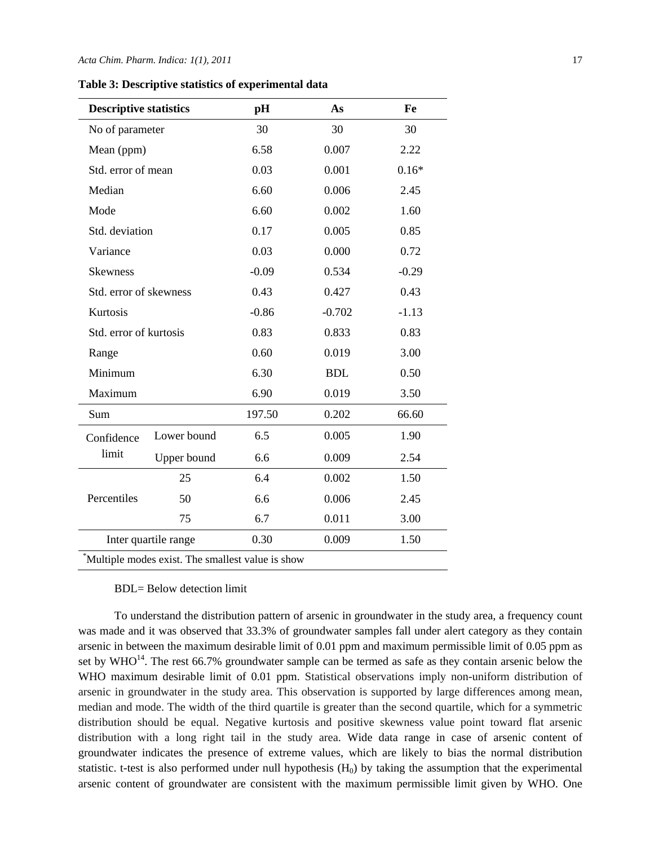#### *Acta Chim. Pharm. Indica: 1(1), 2011* 17

| <b>Descriptive statistics</b>                    |                 | pH      | As         | Fe      |  |  |
|--------------------------------------------------|-----------------|---------|------------|---------|--|--|
|                                                  | No of parameter |         | 30         | 30      |  |  |
| Mean (ppm)                                       |                 | 6.58    | 0.007      | 2.22    |  |  |
| Std. error of mean                               |                 | 0.03    | 0.001      | $0.16*$ |  |  |
| Median                                           |                 | 6.60    | 0.006      | 2.45    |  |  |
| Mode                                             |                 | 6.60    | 0.002      | 1.60    |  |  |
| Std. deviation                                   |                 | 0.17    | 0.005      | 0.85    |  |  |
| Variance                                         |                 | 0.03    | 0.000      | 0.72    |  |  |
| <b>Skewness</b>                                  |                 | $-0.09$ | 0.534      | $-0.29$ |  |  |
| Std. error of skewness                           |                 | 0.43    | 0.427      | 0.43    |  |  |
| Kurtosis                                         |                 | $-0.86$ | $-0.702$   | $-1.13$ |  |  |
| Std. error of kurtosis                           |                 | 0.83    | 0.833      | 0.83    |  |  |
| Range                                            |                 | 0.60    | 0.019      | 3.00    |  |  |
| Minimum                                          |                 | 6.30    | <b>BDL</b> | 0.50    |  |  |
| Maximum                                          |                 | 6.90    | 0.019      | 3.50    |  |  |
| Sum                                              |                 | 197.50  | 0.202      | 66.60   |  |  |
| Confidence<br>limit                              | Lower bound     | 6.5     | 0.005      | 1.90    |  |  |
|                                                  | Upper bound     | 6.6     | 0.009      | 2.54    |  |  |
| Percentiles                                      | 25              | 6.4     | 0.002      | 1.50    |  |  |
|                                                  | 50              | 6.6     | 0.006      | 2.45    |  |  |
|                                                  | 75              | 6.7     | 0.011      | 3.00    |  |  |
| Inter quartile range                             |                 | 0.30    | 0.009      | 1.50    |  |  |
| Multiple modes exist. The smallest value is show |                 |         |            |         |  |  |

#### BDL= Below detection limit

To understand the distribution pattern of arsenic in groundwater in the study area, a frequency count was made and it was observed that 33.3% of groundwater samples fall under alert category as they contain arsenic in between the maximum desirable limit of 0.01 ppm and maximum permissible limit of 0.05 ppm as set by WHO<sup>14</sup>. The rest 66.7% groundwater sample can be termed as safe as they contain arsenic below the WHO maximum desirable limit of 0.01 ppm. Statistical observations imply non-uniform distribution of arsenic in groundwater in the study area. This observation is supported by large differences among mean, median and mode. The width of the third quartile is greater than the second quartile, which for a symmetric distribution should be equal. Negative kurtosis and positive skewness value point toward flat arsenic distribution with a long right tail in the study area. Wide data range in case of arsenic content of groundwater indicates the presence of extreme values, which are likely to bias the normal distribution statistic. t-test is also performed under null hypothesis  $(H<sub>0</sub>)$  by taking the assumption that the experimental arsenic content of groundwater are consistent with the maximum permissible limit given by WHO. One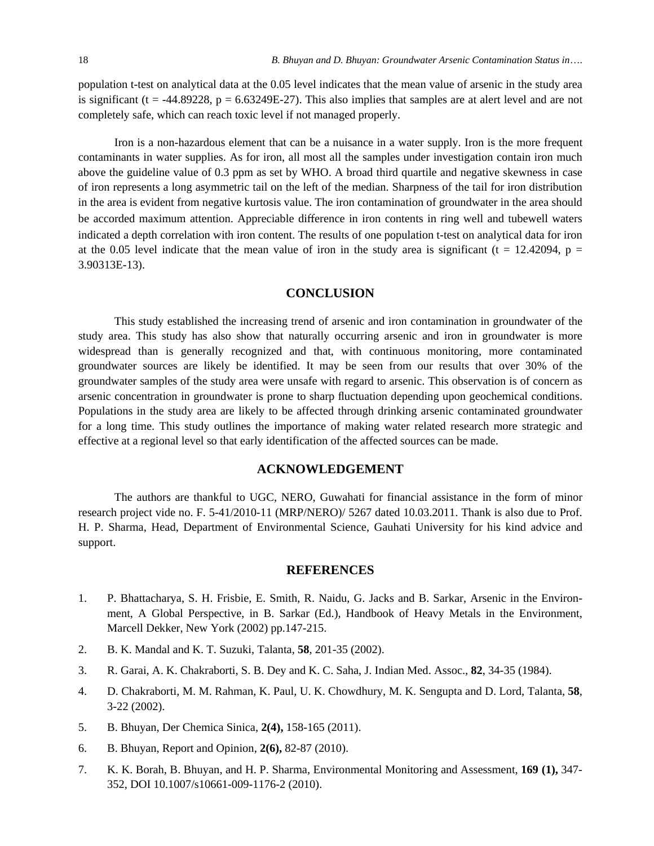population t-test on analytical data at the 0.05 level indicates that the mean value of arsenic in the study area is significant ( $t = -44.89228$ ,  $p = 6.63249E-27$ ). This also implies that samples are at alert level and are not completely safe, which can reach toxic level if not managed properly.

Iron is a non-hazardous element that can be a nuisance in a water supply. Iron is the more frequent contaminants in water supplies. As for iron, all most all the samples under investigation contain iron much above the guideline value of 0.3 ppm as set by WHO. A broad third quartile and negative skewness in case of iron represents a long asymmetric tail on the left of the median. Sharpness of the tail for iron distribution in the area is evident from negative kurtosis value. The iron contamination of groundwater in the area should be accorded maximum attention. Appreciable difference in iron contents in ring well and tubewell waters indicated a depth correlation with iron content. The results of one population t-test on analytical data for iron at the 0.05 level indicate that the mean value of iron in the study area is significant (t = 12.42094, p = 3.90313E-13).

# **CONCLUSION**

This study established the increasing trend of arsenic and iron contamination in groundwater of the study area. This study has also show that naturally occurring arsenic and iron in groundwater is more widespread than is generally recognized and that, with continuous monitoring, more contaminated groundwater sources are likely be identified. It may be seen from our results that over 30% of the groundwater samples of the study area were unsafe with regard to arsenic. This observation is of concern as arsenic concentration in groundwater is prone to sharp fluctuation depending upon geochemical conditions. Populations in the study area are likely to be affected through drinking arsenic contaminated groundwater for a long time. This study outlines the importance of making water related research more strategic and effective at a regional level so that early identification of the affected sources can be made.

### **ACKNOWLEDGEMENT**

The authors are thankful to UGC, NERO, Guwahati for financial assistance in the form of minor research project vide no. F. 5-41/2010-11 (MRP/NERO)/ 5267 dated 10.03.2011. Thank is also due to Prof. H. P. Sharma, Head, Department of Environmental Science, Gauhati University for his kind advice and support.

## **REFERENCES**

- 1. P. Bhattacharya, S. H. Frisbie, E. Smith, R. Naidu, G. Jacks and B. Sarkar, Arsenic in the Environment, A Global Perspective, in B. Sarkar (Ed.), Handbook of Heavy Metals in the Environment, Marcell Dekker, New York (2002) pp.147-215.
- 2. B. K. Mandal and K. T. Suzuki, Talanta, **58**, 201-35 (2002).
- 3. R. Garai, A. K. Chakraborti, S. B. Dey and K. C. Saha, J. Indian Med. Assoc., **82**, 34-35 (1984).
- 4. D. Chakraborti, M. M. Rahman, K. Paul, U. K. Chowdhury, M. K. Sengupta and D. Lord, Talanta, **58**, 3-22 (2002).
- 5. B. Bhuyan, Der Chemica Sinica, **2(4),** 158-165 (2011).
- 6. B. Bhuyan, Report and Opinion, **2(6),** 82-87 (2010).
- 7. K. K. Borah, B. Bhuyan, and H. P. Sharma, Environmental Monitoring and Assessment, **169 (1),** 347- 352, DOI 10.1007/s10661-009-1176-2 (2010).